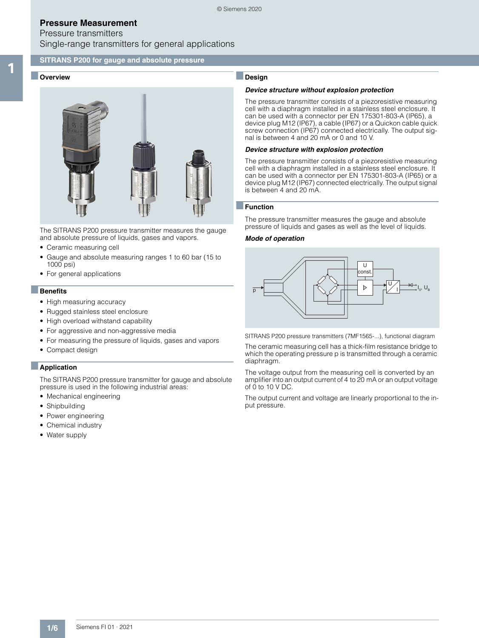## Pressure transmitters Single-range transmitters for general applications

### **SITRANS P200 for gauge and absolute pressure**

### Overview



The SITRANS P200 pressure transmitter measures the gauge and absolute pressure of liquids, gases and vapors.

- Ceramic measuring cell
- Gauge and absolute measuring ranges 1 to 60 bar (15 to 1000 psi)
- For general applications

#### ■**Benefits**

- High measuring accuracy
- Rugged stainless steel enclosure
- High overload withstand capability
- For aggressive and non-aggressive media
- For measuring the pressure of liquids, gases and vapors
- Compact design

#### ■**Application**

The SITRANS P200 pressure transmitter for gauge and absolute pressure is used in the following industrial areas:

- Mechanical engineering
- Shipbuilding
- Power engineering
- Chemical industry
- Water supply

## ■**Design**

#### *Device structure without explosion protection*

The pressure transmitter consists of a piezoresistive measuring cell with a diaphragm installed in a stainless steel enclosure. It can be used with a connector per EN 175301-803-A (IP65), a device plug M12 (IP67), a cable (IP67) or a Quickon cable quick screw connection (IP67) connected electrically. The output signal is between 4 and 20 mA or 0 and 10 V.

#### *Device structure with explosion protection*

The pressure transmitter consists of a piezoresistive measuring cell with a diaphragm installed in a stainless steel enclosure. It can be used with a connector per EN 175301-803-A (IP65) or a device plug M12 (IP67) connected electrically. The output signal is between 4 and 20 mA.

#### ■**Function**

The pressure transmitter measures the gauge and absolute pressure of liquids and gases as well as the level of liquids.

#### *Mode of operation*



SITRANS P200 pressure transmitters (7MF1565-...), functional diagram

The ceramic measuring cell has a thick-film resistance bridge to which the operating pressure p is transmitted through a ceramic diaphragm.

The voltage output from the measuring cell is converted by an amplifier into an output current of 4 to 20 mA or an output voltage of 0 to 10 V DC.

The output current and voltage are linearly proportional to the input pressure.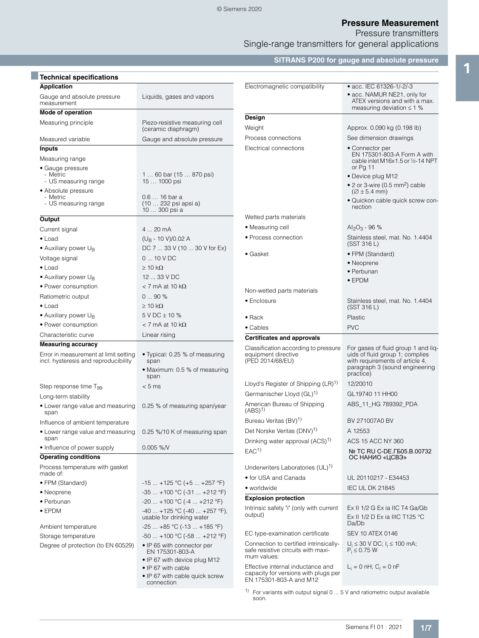Pressure transmitters

Single-range transmitters for general applications

**SITRANS P200 for gauge and absolute pressure**

| Liquids, gases and vapors                                                       |                                                                                                                                                                                                                                                                                                                                                                                                                                                            | • acc. IEC 61326-1/-2/-3<br>• acc. NAMUR NE21, only for<br>ATEX versions and with a max.<br>measuring deviation $\leq 1$ %                                                                                                                                                                                                                       |
|---------------------------------------------------------------------------------|------------------------------------------------------------------------------------------------------------------------------------------------------------------------------------------------------------------------------------------------------------------------------------------------------------------------------------------------------------------------------------------------------------------------------------------------------------|--------------------------------------------------------------------------------------------------------------------------------------------------------------------------------------------------------------------------------------------------------------------------------------------------------------------------------------------------|
|                                                                                 |                                                                                                                                                                                                                                                                                                                                                                                                                                                            |                                                                                                                                                                                                                                                                                                                                                  |
| Piezo-resistive measuring cell                                                  |                                                                                                                                                                                                                                                                                                                                                                                                                                                            | Approx. 0.090 kg (0.198 lb)                                                                                                                                                                                                                                                                                                                      |
|                                                                                 |                                                                                                                                                                                                                                                                                                                                                                                                                                                            | See dimension drawings                                                                                                                                                                                                                                                                                                                           |
|                                                                                 |                                                                                                                                                                                                                                                                                                                                                                                                                                                            | • Connector per                                                                                                                                                                                                                                                                                                                                  |
|                                                                                 |                                                                                                                                                                                                                                                                                                                                                                                                                                                            | EN 175301-803-A Form A with<br>cable inlet M16x1.5 or 1/2-14 NPT<br>or Pg 11                                                                                                                                                                                                                                                                     |
| 1  60 bar (15  870 psi)<br>15  1000 psi                                         |                                                                                                                                                                                                                                                                                                                                                                                                                                                            | • Device plug M12<br>• 2 or 3-wire (0.5 mm <sup>2</sup> ) cable                                                                                                                                                                                                                                                                                  |
|                                                                                 |                                                                                                                                                                                                                                                                                                                                                                                                                                                            | $(2 \pm 5.4$ mm)                                                                                                                                                                                                                                                                                                                                 |
| (10  232 psi apsi a)<br>10  300 psi a                                           |                                                                                                                                                                                                                                                                                                                                                                                                                                                            | · Quickon cable quick screw con-<br>nection                                                                                                                                                                                                                                                                                                      |
|                                                                                 | Wetted parts materials                                                                                                                                                                                                                                                                                                                                                                                                                                     |                                                                                                                                                                                                                                                                                                                                                  |
| 4  20 mA                                                                        | • Measuring cell                                                                                                                                                                                                                                                                                                                                                                                                                                           | $Al_2O_3 - 96%$                                                                                                                                                                                                                                                                                                                                  |
| $(U_R - 10 V)/0.02 A$                                                           | • Process connection                                                                                                                                                                                                                                                                                                                                                                                                                                       | Stainless steel, mat. No. 1.4404<br>(SST 316 L)                                                                                                                                                                                                                                                                                                  |
|                                                                                 | • Gasket                                                                                                                                                                                                                                                                                                                                                                                                                                                   | • FPM (Standard)                                                                                                                                                                                                                                                                                                                                 |
|                                                                                 |                                                                                                                                                                                                                                                                                                                                                                                                                                                            | • Neoprene                                                                                                                                                                                                                                                                                                                                       |
|                                                                                 |                                                                                                                                                                                                                                                                                                                                                                                                                                                            | • Perbunan                                                                                                                                                                                                                                                                                                                                       |
|                                                                                 |                                                                                                                                                                                                                                                                                                                                                                                                                                                            | $\bullet$ EPDM                                                                                                                                                                                                                                                                                                                                   |
|                                                                                 | Non-wetted parts materials                                                                                                                                                                                                                                                                                                                                                                                                                                 |                                                                                                                                                                                                                                                                                                                                                  |
|                                                                                 | • Enclosure                                                                                                                                                                                                                                                                                                                                                                                                                                                | Stainless steel, mat. No. 1.4404                                                                                                                                                                                                                                                                                                                 |
|                                                                                 |                                                                                                                                                                                                                                                                                                                                                                                                                                                            | (SST 316 L)                                                                                                                                                                                                                                                                                                                                      |
|                                                                                 | $\bullet$ Rack                                                                                                                                                                                                                                                                                                                                                                                                                                             | Plastic                                                                                                                                                                                                                                                                                                                                          |
|                                                                                 | • Cables                                                                                                                                                                                                                                                                                                                                                                                                                                                   | <b>PVC</b>                                                                                                                                                                                                                                                                                                                                       |
|                                                                                 | <b>Certificates and approvals</b>                                                                                                                                                                                                                                                                                                                                                                                                                          |                                                                                                                                                                                                                                                                                                                                                  |
| · Typical: 0.25 % of measuring<br>span<br>• Maximum: 0.5 % of measuring<br>span | Classification according to pressure<br>equipment directive<br>(PED 2014/68/EU)                                                                                                                                                                                                                                                                                                                                                                            | For gases of fluid group 1 and lig-<br>uids of fluid group 1; complies<br>with requirements of article 4,<br>paragraph 3 (sound engineering<br>practice)                                                                                                                                                                                         |
|                                                                                 | Lloyd's Register of Shipping (LR) <sup>1)</sup>                                                                                                                                                                                                                                                                                                                                                                                                            | 12/20010                                                                                                                                                                                                                                                                                                                                         |
|                                                                                 | Germanischer Lloyd (GL) <sup>1)</sup>                                                                                                                                                                                                                                                                                                                                                                                                                      | GL19740 11 HH00                                                                                                                                                                                                                                                                                                                                  |
| 0.25 % of measuring span/year                                                   | American Bureau of Shipping<br>$(ABS)^{1}$                                                                                                                                                                                                                                                                                                                                                                                                                 | ABS_11_HG 789392_PDA                                                                                                                                                                                                                                                                                                                             |
|                                                                                 | Bureau Veritas (BV) <sup>1)</sup>                                                                                                                                                                                                                                                                                                                                                                                                                          | BV 271007A0 BV                                                                                                                                                                                                                                                                                                                                   |
| 0.25 %/10 K of measuring span                                                   | Det Norske Veritas (DNV) <sup>1)</sup>                                                                                                                                                                                                                                                                                                                                                                                                                     | A 12553                                                                                                                                                                                                                                                                                                                                          |
|                                                                                 | Drinking water approval (ACS) <sup>1)</sup>                                                                                                                                                                                                                                                                                                                                                                                                                | ACS 15 ACC NY 360                                                                                                                                                                                                                                                                                                                                |
| $0.005 %$ /V                                                                    | EAC <sup>1</sup>                                                                                                                                                                                                                                                                                                                                                                                                                                           | Nº TC RU C-DE. F505.B.00732<br>ОС НАНИО «ЦСВЭ»                                                                                                                                                                                                                                                                                                   |
|                                                                                 |                                                                                                                                                                                                                                                                                                                                                                                                                                                            |                                                                                                                                                                                                                                                                                                                                                  |
|                                                                                 |                                                                                                                                                                                                                                                                                                                                                                                                                                                            | UL 20110217 - E34453                                                                                                                                                                                                                                                                                                                             |
| $-15+125$ °C (+5 +257 °F)                                                       |                                                                                                                                                                                                                                                                                                                                                                                                                                                            | <b>IEC UL DK 21845</b>                                                                                                                                                                                                                                                                                                                           |
| $-35+100$ °C $(-31+212$ °F)                                                     |                                                                                                                                                                                                                                                                                                                                                                                                                                                            |                                                                                                                                                                                                                                                                                                                                                  |
| $-20+100$ °C $(-4+212$ °F)                                                      |                                                                                                                                                                                                                                                                                                                                                                                                                                                            |                                                                                                                                                                                                                                                                                                                                                  |
| usable for drinking water                                                       | output)                                                                                                                                                                                                                                                                                                                                                                                                                                                    | Ex II 1/2 G Ex ia IIC T4 Ga/Gb<br>Ex II 1/2 D Ex ia IIIC T125 °C<br>Da/Db                                                                                                                                                                                                                                                                        |
|                                                                                 |                                                                                                                                                                                                                                                                                                                                                                                                                                                            | <b>SEV 10 ATEX 0146</b>                                                                                                                                                                                                                                                                                                                          |
|                                                                                 |                                                                                                                                                                                                                                                                                                                                                                                                                                                            | $U_i \le 30$ V DC; $I_i \le 100$ mA;                                                                                                                                                                                                                                                                                                             |
| EN 175301-803-A                                                                 | safe resistive circuits with maxi-<br>mum values:                                                                                                                                                                                                                                                                                                                                                                                                          | $P_i \leq 0.75$ W                                                                                                                                                                                                                                                                                                                                |
| • IP 67 with cable                                                              | Effective internal inductance and<br>capacity for versions with plugs per                                                                                                                                                                                                                                                                                                                                                                                  | $L_i = 0$ nH; $C_i = 0$ nF                                                                                                                                                                                                                                                                                                                       |
|                                                                                 | (ceramic diaphragm)<br>Gauge and absolute pressure<br>0.6  16 bar a<br>DC 7  33 V (10  30 V for Ex)<br>$010$ V DC<br>$> 10 k\Omega$<br>12  33 V DC<br>$<$ 7 mA at 10 k $\Omega$<br>090%<br>$\geq 10 \text{ k}\Omega$<br>5 V DC ± 10 %<br>$<$ 7 mA at 10 k $\Omega$<br>Linear rising<br>< 5 ms<br>$-40$ +125 °C (-40  +257 °F),<br>$-25+85$ °C ( $-13+185$ °F)<br>-50  +100 °C (-58  +212 °F)<br>• IP 65 with connector per<br>• IP 67 with device plug M12 | Electromagnetic compatibility<br>Design<br>Weight<br>Process connections<br>Electrical connections<br>Underwriters Laboratories (UL) <sup>1)</sup><br>• for USA and Canada<br>• worldwide<br><b>Explosion protection</b><br>Intrinsic safety "i" (only with current<br>EC type-examination certificate<br>Connection to certified intrinsically- |

1) For variants with output signal  $0 \ldots 5$  V and ratiometric output available soon.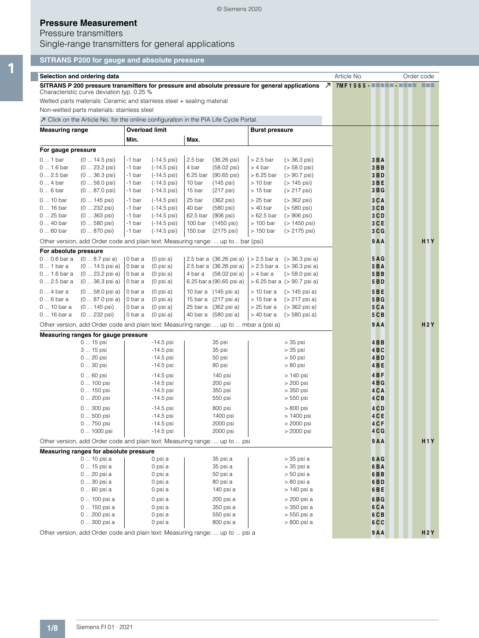### © Siemens 2020

## **Pressure Measurement**

## Pressure transmitters

Single-range transmitters for general applications

## **SITRANS P200 for gauge and absolute pressure**

|                        | Selection and ordering data                                                                                  |                       |                        |                    |                          |                       |                                 | Article No.                            | Order code |                  |
|------------------------|--------------------------------------------------------------------------------------------------------------|-----------------------|------------------------|--------------------|--------------------------|-----------------------|---------------------------------|----------------------------------------|------------|------------------|
|                        | SITRANS P 200 pressure transmitters for pressure and absolute pressure for general applications $\Box$       |                       |                        |                    |                          |                       |                                 | 7MF1565 - <b>- - - - - - - - - - -</b> |            | <b>FRE</b>       |
|                        | Characteristic curve deviation typ. 0.25 %                                                                   |                       |                        |                    |                          |                       |                                 |                                        |            |                  |
|                        | Wetted parts materials: Ceramic and stainless steel + sealing material                                       |                       |                        |                    |                          |                       |                                 |                                        |            |                  |
|                        | Non-wetted parts materials: stainless steel                                                                  |                       |                        |                    |                          |                       |                                 |                                        |            |                  |
|                        | $\overline{\mathcal{A}}$ Click on the Article No. for the online configuration in the PIA Life Cycle Portal. |                       |                        |                    |                          |                       |                                 |                                        |            |                  |
| <b>Measuring range</b> |                                                                                                              | <b>Overload limit</b> |                        |                    |                          | <b>Burst pressure</b> |                                 |                                        |            |                  |
|                        |                                                                                                              | Min.                  |                        | Max.               |                          |                       |                                 |                                        |            |                  |
| For gauge pressure     |                                                                                                              |                       |                        |                    |                          |                       |                                 |                                        |            |                  |
| $01$ bar               | $(0 14.5 \text{psi})$                                                                                        | -1 bar                | $(-14.5 \,\text{psi})$ | 2.5 <sub>bar</sub> | $(36.26 \,\text{psi})$   | $> 2.5$ bar           | $( > 36.3 \,\text{psi})$        | $3B$ A                                 |            |                  |
| 0  1.6 bar             | $(023.2 \text{ psi})$                                                                                        | -1 bar                | $(-14.5 \,\text{psi})$ | 4 bar              | $(58.02 \text{ psi})$    | $> 4$ bar             | $(> 58.0 \,\text{psi})$         | $3B$ B                                 |            |                  |
| 0  2.5 bar             | $(036.3 \text{ psi})$                                                                                        | -1 bar                | $(-14.5 \,\text{psi})$ |                    | 6.25 bar (90.65 psi)     | $>6.25$ bar           | $(> 90.7 \,\text{psi})$         | 3 <sub>B</sub>                         |            |                  |
| $04$ bar               | $(058.0 \text{ psi})$                                                                                        | -1 bar                | $(-14.5 \,\text{psi})$ | 10 bar             | (145 psi)                | $> 10$ bar            | $($ > 145 psi)                  | 3BE                                    |            |                  |
| $06$ bar               | $(087.0 \text{ psi})$                                                                                        | -1 bar                | $(-14.5 \,\text{psi})$ | 15 bar             | (217 psi)                | $> 15$ bar            | (> 217 psi)                     | 3BG                                    |            |                  |
| 0  10 bar              | $(0 145 \text{ psi})$                                                                                        | -1 bar                | $(-14.5 \,\text{psi})$ | 25 bar             | $(362 \text{ psi})$      | $> 25$ bar            | $( > 362 \,\text{psi})$         | $3C$ A                                 |            |                  |
| 0  16 bar              | (0  232 psi)                                                                                                 | -1 bar                | $(-14.5 \,\text{psi})$ | 40 bar             | (580 psi)                | $>40$ bar             | $($ > 580 psi)                  | $3C$ B                                 |            |                  |
| 0  25 bar              | $(0363 \text{ psi})$                                                                                         | -1 bar                | $(-14.5 \,\text{psi})$ |                    | 62.5 bar (906 psi)       | $>62.5$ bar           | $( > 906 \,\text{psi})$         | 3 <sub>C</sub>                         |            |                  |
| 0  40 bar              | $(0580 \text{ psi})$                                                                                         | -1 bar                | $(-14.5 \,\text{psi})$ | 100 bar            | (1450 psi)               | $> 100$ bar           | (> 1450 psi)                    | $3C$ E                                 |            |                  |
| $060$ bar              | $(0870 \text{ psi})$                                                                                         | -1 bar                | $(-14.5 \,\text{psi})$ | 150 bar            | (2175 psi)               | $>150$ bar            | (> 2175 psi)                    | 3 <sub>C</sub>                         |            |                  |
|                        | Other version, add Order code and plain text: Measuring range:  up to bar (psi)                              |                       |                        |                    |                          |                       |                                 | 9 A A                                  |            | H1Y              |
| For absolute pressure  |                                                                                                              |                       |                        |                    |                          |                       |                                 |                                        |            |                  |
| $00.6$ bar a           | $(08.7 \text{ psi a})$                                                                                       | 0 bar a               | $(0 \text{ psi } a)$   |                    | 2.5 bar a (36.26 psi a)  |                       | $> 2.5$ bar a $(> 36.3$ psi a)  | $5A$ G                                 |            |                  |
| $0$ 1 bar a            | $(0 14.5 \text{psi a})$                                                                                      | 0 bar a               | $(0 \text{ psi } a)$   |                    | 2.5 bar a (36.26 psi a)  |                       | $> 2.5$ bar a $(> 36.3$ psi a)  | $5B$ A                                 |            |                  |
| 0  1.6 bar a           | $(023.2 \text{ psi a})$                                                                                      | 0 bar a               | $(0 \text{ psi } a)$   |                    | 4 bar a (58.02 psi a)    | $> 4$ bar a           | $($ > 58.0 psi a)               | $5B$ B                                 |            |                  |
| 0  2.5 bar a           | $(036.3 \text{ psi a})$                                                                                      | 0 bar a               | $(0 \text{ psi } a)$   |                    | 6.25 bar a (90.65 psi a) |                       | $> 6.25$ bar a $(> 90.7$ psi a) | 5 <b>BD</b>                            |            |                  |
| $04$ bar a             | $(058.0 \text{ psi a})$                                                                                      | 0 bar a               | $(0 \text{ psi } a)$   |                    | 10 bar a (145 psi a)     | $> 10$ bar a          | (> 145 psi a)                   | 5BE                                    |            |                  |
| $06$ bar a             | $(087.0 \text{ psi a})$                                                                                      | 0 bar a               | $(0 \text{ psi } a)$   |                    | 15 bar a (217 psi a)     | $> 15$ bar a          | (> 217 psi a)                   | 5BG                                    |            |                  |
| 0  10 bar a            | $(0 145 \text{ psi})$                                                                                        | 0 bar a               | $(0 \text{ psi } a)$   |                    | 25 bar a (362 psi a)     | $>25$ bar a           | (> 362 psi a)                   | $5C$ A                                 |            |                  |
| 0  16 bar a            | $(0 232 \text{ psi})$                                                                                        | 0 bar a               | $(0 \text{ psi } a)$   |                    | 40 bar a (580 psi a)     | $>40$ bar a           | (> 580 psi a)                   | $5C$ B                                 |            |                  |
|                        | Other version, add Order code and plain text: Measuring range:  up to  mbar a (psi a)                        |                       |                        |                    |                          |                       |                                 | 9A                                     |            | H2Y              |
|                        | Measuring ranges for gauge pressure                                                                          |                       |                        |                    |                          |                       |                                 |                                        |            |                  |
|                        | 0  15 psi                                                                                                    |                       | $-14.5$ psi            |                    | 35 psi                   |                       | $> 35$ psi                      | $4$ B <sub>B</sub>                     |            |                  |
|                        | 3  15 psi                                                                                                    |                       | $-14.5$ psi            |                    | 35 psi                   |                       | $> 35$ psi                      | $4B$ <sub>C</sub>                      |            |                  |
|                        | 0  20 psi                                                                                                    |                       | $-14.5$ psi            |                    | 50 psi                   |                       | $> 50$ psi                      | $4$ BD                                 |            |                  |
|                        | 0  30 psi                                                                                                    |                       | $-14.5$ psi            |                    | 80 psi                   |                       | > 80 psi                        | 4BE                                    |            |                  |
|                        | 0  60 psi                                                                                                    |                       | $-14.5$ psi            |                    | 140 psi                  |                       | > 140 psi                       | $4B$ F                                 |            |                  |
|                        | 0  100 psi                                                                                                   |                       | $-14.5$ psi            |                    | 200 psi                  |                       | > 200 psi                       | 4BG                                    |            |                  |
|                        | 0  150 psi                                                                                                   |                       | $-14.5$ psi            |                    | 350 psi                  |                       | > 350 psi                       | 4 <sub>CA</sub>                        |            |                  |
|                        | 0  200 psi                                                                                                   |                       | $-14.5$ psi            |                    | 550 psi                  |                       | > 550 psi                       | 4CB                                    |            |                  |
|                        | 0  300 psi                                                                                                   |                       | $-14.5$ psi            |                    | 800 psi                  |                       | > 800 psi                       | 4 <sub>CD</sub>                        |            |                  |
|                        | 0  500 psi                                                                                                   |                       | $-14.5$ psi            |                    | 1400 psi                 |                       | > 1400 psi                      | 4 <sub>CE</sub>                        |            |                  |
|                        | 0  750 psi                                                                                                   |                       | $-14.5$ psi            |                    | 2000 psi                 |                       | > 2000 psi                      | 4 <sub>CF</sub>                        |            |                  |
|                        | $01000$ psi                                                                                                  |                       | -14.5 psi              |                    | 2000 psi                 |                       | > 2000 psi                      | 4 C G                                  |            |                  |
|                        | Other version, add Order code and plain text: Measuring range:  up to  psi                                   |                       |                        |                    |                          |                       |                                 | 9 A A                                  |            | H <sub>1</sub> Y |
|                        | Measuring ranges for absolute pressure                                                                       |                       |                        |                    |                          |                       |                                 |                                        |            |                  |
|                        | 0  10 psi a                                                                                                  |                       | 0 psi a                |                    | 35 psi a                 |                       | > 35 psi a                      | 6AG                                    |            |                  |
|                        | 0  15 psi a                                                                                                  |                       | 0 psi a                |                    | 35 psi a                 |                       | > 35 psi a                      | 6BA                                    |            |                  |
|                        | 0  20 psi a                                                                                                  |                       | 0 psi a                |                    | 50 psi a                 |                       | > 50 psi a                      | $6$ B <sub>B</sub>                     |            |                  |
|                        | 0  30 psi a<br>0  60 psi a                                                                                   |                       | 0 psi a<br>0 psi a     |                    | 80 psi a<br>140 psi a    |                       | > 80 psi a<br>> 140 psi a       | 6BD<br>6BE                             |            |                  |
|                        |                                                                                                              |                       |                        |                    |                          |                       |                                 |                                        |            |                  |
|                        | 0  100 psi a                                                                                                 |                       | 0 psi a                |                    | 200 psi a                |                       | > 200 psi a                     | 6BG                                    |            |                  |
|                        | 0  150 psi a                                                                                                 |                       | 0 psi a                |                    | 350 psi a                |                       | > 350 psi a                     | 6 <sub>CA</sub>                        |            |                  |
|                        | 0  200 psi a<br>0  300 psi a                                                                                 |                       | 0 psi a<br>0 psi a     |                    | 550 psi a<br>800 psi a   |                       | > 550 psi a<br>> 800 psi a      | $6C$ B<br>6 <sub>C</sub>               |            |                  |
|                        |                                                                                                              |                       |                        |                    |                          |                       |                                 |                                        |            |                  |
|                        | Other version, add Order code and plain text: Measuring range:  up to  psi a                                 |                       |                        |                    |                          |                       |                                 | 9A                                     |            | H2Y              |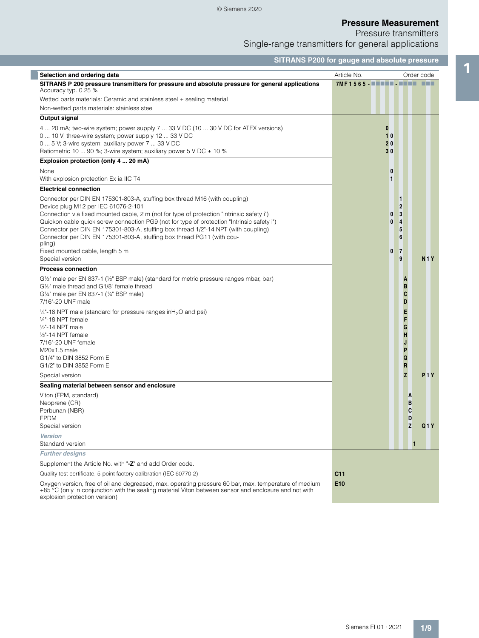Pressure transmitters

Single-range transmitters for general applications

|                                                                                                                                                                                                                                                                                                                                                                                                                                                                                        | <b>SITRANS P200 for gauge and absolute pressure</b> |                                                                                |              |
|----------------------------------------------------------------------------------------------------------------------------------------------------------------------------------------------------------------------------------------------------------------------------------------------------------------------------------------------------------------------------------------------------------------------------------------------------------------------------------------|-----------------------------------------------------|--------------------------------------------------------------------------------|--------------|
| Selection and ordering data                                                                                                                                                                                                                                                                                                                                                                                                                                                            | Article No.                                         |                                                                                | Order code   |
| SITRANS P 200 pressure transmitters for pressure and absolute pressure for general applications<br>Accuracy typ. 0.25 %                                                                                                                                                                                                                                                                                                                                                                |                                                     |                                                                                |              |
| Wetted parts materials: Ceramic and stainless steel + sealing material                                                                                                                                                                                                                                                                                                                                                                                                                 |                                                     |                                                                                |              |
| Non-wetted parts materials: stainless steel                                                                                                                                                                                                                                                                                                                                                                                                                                            |                                                     |                                                                                |              |
| Output signal                                                                                                                                                                                                                                                                                                                                                                                                                                                                          |                                                     |                                                                                |              |
| 4  20 mA; two-wire system; power supply 7  33 V DC (10  30 V DC for ATEX versions)<br>0  10 V; three-wire system; power supply 12  33 V DC<br>0  5 V; 3-wire system; auxiliary power 7  33 V DC<br>Ratiometric 10  90 %; 3-wire system; auxiliary power 5 V DC ± 10 %                                                                                                                                                                                                                  | $\bf{0}$<br>10<br>20<br>30                          |                                                                                |              |
| Explosion protection (only 4  20 mA)                                                                                                                                                                                                                                                                                                                                                                                                                                                   |                                                     |                                                                                |              |
| None                                                                                                                                                                                                                                                                                                                                                                                                                                                                                   | 0                                                   |                                                                                |              |
| With explosion protection Ex ia IIC T4                                                                                                                                                                                                                                                                                                                                                                                                                                                 | 1                                                   |                                                                                |              |
| <b>Electrical connection</b>                                                                                                                                                                                                                                                                                                                                                                                                                                                           |                                                     |                                                                                |              |
| Connector per DIN EN 175301-803-A, stuffing box thread M16 (with coupling)<br>Device plug M12 per IEC 61076-2-101<br>Connection via fixed mounted cable, 2 m (not for type of protection "Intrinsic safety i")<br>Quickon cable quick screw connection PG9 (not for type of protection "Intrinsic safety i")<br>Connector per DIN EN 175301-803-A, stuffing box thread 1/2"-14 NPT (with coupling)<br>Connector per DIN EN 175301-803-A, stuffing box thread PG11 (with cou-<br>pling) | 0<br>0                                              | 1<br>$\overline{2}$<br>3<br>4<br>5<br>6                                        |              |
| Fixed mounted cable, length 5 m<br>Special version                                                                                                                                                                                                                                                                                                                                                                                                                                     | 0                                                   | $\overline{7}$<br>9                                                            |              |
| <b>Process connection</b>                                                                                                                                                                                                                                                                                                                                                                                                                                                              |                                                     |                                                                                | <b>N1Y</b>   |
| G1/2" male per EN 837-1 (1/2" BSP male) (standard for metric pressure ranges mbar, bar)<br>G1/2" male thread and G1/8" female thread<br>G1/4" male per EN 837-1 (1/4" BSP male)<br>7/16"-20 UNF male<br>1/4"-18 NPT male (standard for pressure ranges in H <sub>2</sub> O and psi)<br>1/ <sub>4</sub> "-18 NPT female<br>$1/2" - 14$ NPT male<br>1/ <sub>2</sub> "-14 NPT female<br>7/16"-20 UNF female<br>M20x1.5 male<br>G1/4" to DIN 3852 Form E<br>G1/2" to DIN 3852 Form E       |                                                     | A<br>B<br>C<br>D<br>E<br>F<br>G<br>H<br>J<br>P<br>Q<br>$\overline{\mathsf{R}}$ |              |
| Special version                                                                                                                                                                                                                                                                                                                                                                                                                                                                        |                                                     | z                                                                              | P1Y          |
| Sealing material between sensor and enclosure                                                                                                                                                                                                                                                                                                                                                                                                                                          |                                                     |                                                                                |              |
| Viton (FPM, standard)<br>Neoprene (CR)<br>Perbunan (NBR)<br><b>EPDM</b><br>Special version                                                                                                                                                                                                                                                                                                                                                                                             |                                                     | A<br>В<br>C<br>D<br>$\mathsf{z}$                                               | Q1Y          |
| <b>Version</b>                                                                                                                                                                                                                                                                                                                                                                                                                                                                         |                                                     |                                                                                |              |
| Standard version                                                                                                                                                                                                                                                                                                                                                                                                                                                                       |                                                     |                                                                                | $\mathbf{1}$ |
| <b>Further designs</b>                                                                                                                                                                                                                                                                                                                                                                                                                                                                 |                                                     |                                                                                |              |
| Supplement the Article No. with "-Z" and add Order code.                                                                                                                                                                                                                                                                                                                                                                                                                               |                                                     |                                                                                |              |
| Quality test certificate, 5-point factory calibration (IEC 60770-2)                                                                                                                                                                                                                                                                                                                                                                                                                    | C <sub>11</sub>                                     |                                                                                |              |
| Oxygen version, free of oil and degreased, max. operating pressure 60 bar, max. temperature of medium<br>+85 °C (only in conjunction with the sealing material Viton between sensor and enclosure and not with<br>explosion protection version)                                                                                                                                                                                                                                        | E <sub>10</sub>                                     |                                                                                |              |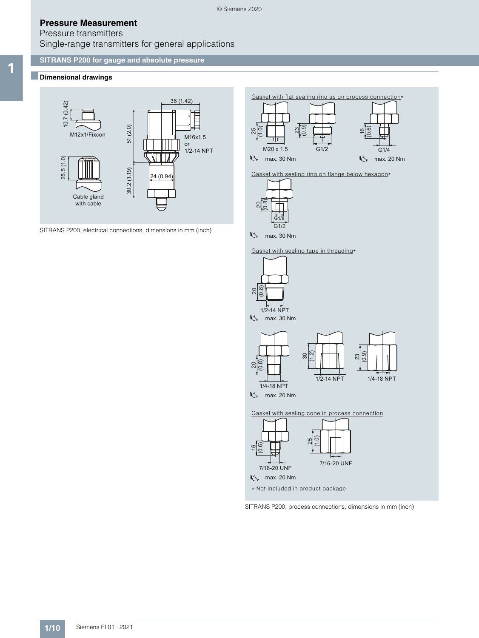## Pressure transmitters Single-range transmitters for general applications

### **SITRANS P200 for gauge and absolute pressure**

## 1 ■**Dimensional drawings**



SITRANS P200, electrical connections, dimensions in mm (inch)

Gasket with flat sealing ring as on process connection\*



Gasket with sealing ring on flange below hexagon\*



**K** max. 30 Nm

Gasket with sealing tape in threading\*



SITRANS P200, process connections, dimensions in mm (inch)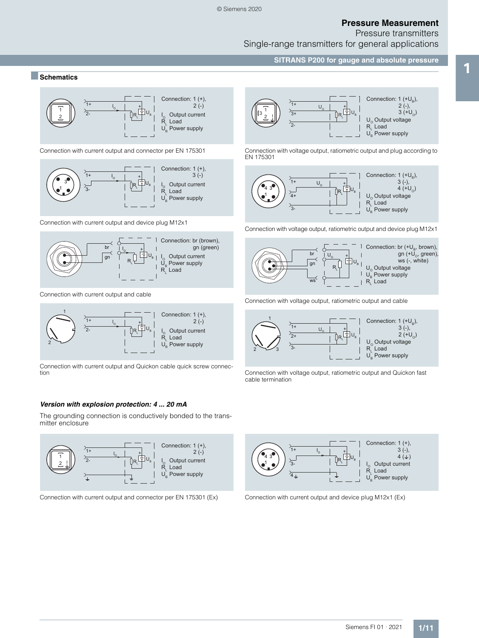Pressure transmitters

Single-range transmitters for general applications

**SITRANS P200 for gauge and absolute pressure Exploration Schematics**<br> **Exploration Schematics**<br> **Exploration Schematics** 



Connection with current output and connector per EN 175301



Connection with current output and device plug M12x1



Connection with current output and cable



Connection with current output and Quickon cable quick screw connection

#### *Version with explosion protection: 4 ... 20 mA*

The grounding connection is conductively bonded to the transmitter enclosure



Connection with current output and connector per EN 175301 (Ex) Connection with current output and device plug M12x1 (Ex)



Connection with voltage output, ratiometric output and plug according to EN 175301



Connection with voltage output, ratiometric output and device plug M12x1



Connection with voltage output, ratiometric output and cable



Connection with voltage output, ratiometric output and Quickon fast cable termination

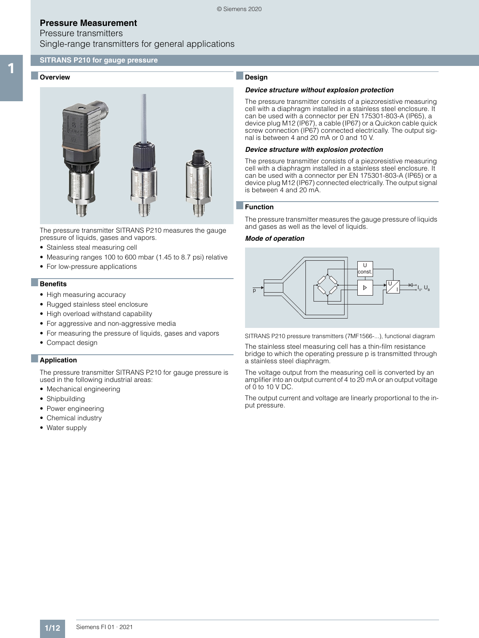## Pressure transmitters Single-range transmitters for general applications

### **SITRANS P210 for gauge pressure**

#### Overview



The pressure transmitter SITRANS P210 measures the gauge pressure of liquids, gases and vapors.

- Stainless steal measuring cell
- Measuring ranges 100 to 600 mbar (1.45 to 8.7 psi) relative
- For low-pressure applications

#### ■**Benefits**

- High measuring accuracy
- Rugged stainless steel enclosure
- High overload withstand capability
- For aggressive and non-aggressive media
- For measuring the pressure of liquids, gases and vapors
- Compact design

#### ■**Application**

The pressure transmitter SITRANS P210 for gauge pressure is used in the following industrial areas:

- Mechanical engineering
- Shipbuilding
- Power engineering
- Chemical industry
- Water supply

## ■**Design**

#### *Device structure without explosion protection*

The pressure transmitter consists of a piezoresistive measuring cell with a diaphragm installed in a stainless steel enclosure. It can be used with a connector per EN 175301-803-A (IP65), a device plug M12 (IP67), a cable (IP67) or a Quickon cable quick screw connection (IP67) connected electrically. The output signal is between 4 and 20 mA or 0 and 10 V.

#### *Device structure with explosion protection*

The pressure transmitter consists of a piezoresistive measuring cell with a diaphragm installed in a stainless steel enclosure. It can be used with a connector per EN 175301-803-A (IP65) or a device plug M12 (IP67) connected electrically. The output signal is between 4 and 20 mA.

#### ■**Function**

The pressure transmitter measures the gauge pressure of liquids and gases as well as the level of liquids.

#### *Mode of operation*



SITRANS P210 pressure transmitters (7MF1566-...), functional diagram

The stainless steel measuring cell has a thin-film resistance bridge to which the operating pressure p is transmitted through a stainless steel diaphragm.

The voltage output from the measuring cell is converted by an amplifier into an output current of 4 to 20 mA or an output voltage of 0 to 10 V DC.

The output current and voltage are linearly proportional to the input pressure.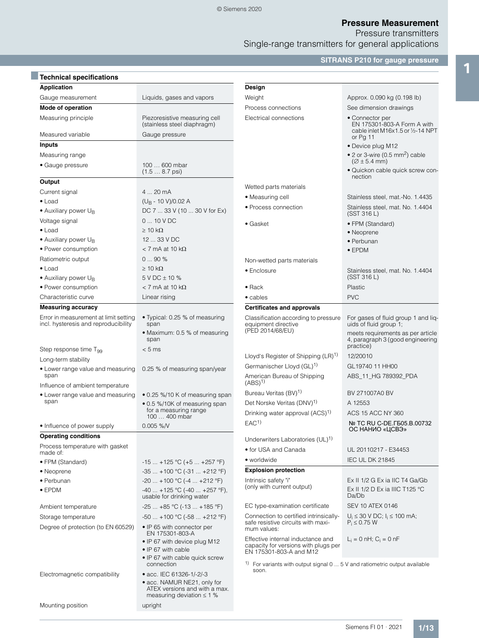Pressure transmitters

Single-range transmitters for general applications

**SITRANS P210 for gauge pressure**

| <b>Technical specifications</b>                                               |                                                                                                                            |                                                                                                        |                                                                                     |
|-------------------------------------------------------------------------------|----------------------------------------------------------------------------------------------------------------------------|--------------------------------------------------------------------------------------------------------|-------------------------------------------------------------------------------------|
| <b>Application</b>                                                            |                                                                                                                            | Design                                                                                                 |                                                                                     |
| Gauge measurement                                                             | Liquids, gases and vapors                                                                                                  | Weight                                                                                                 | Approx. 0.090 kg (0.198 lb)                                                         |
| Mode of operation                                                             |                                                                                                                            | Process connections                                                                                    | See dimension drawings                                                              |
| Measuring principle                                                           | Piezoresistive measuring cell<br>(stainless steel diaphragm)                                                               | Electrical connections                                                                                 | • Connector per<br>EN 175301-803-A Form A with<br>cable inlet M16x1.5 or 1/2-14 NPT |
| Measured variable                                                             | Gauge pressure                                                                                                             |                                                                                                        | or $Pg$ 11                                                                          |
| <b>Inputs</b>                                                                 |                                                                                                                            |                                                                                                        | • Device plug M12                                                                   |
| Measuring range                                                               |                                                                                                                            |                                                                                                        | • 2 or 3-wire (0.5 mm <sup>2</sup> ) cable<br>$(Ø \pm 5.4$ mm)                      |
| • Gauge pressure                                                              | 100  600 mbar<br>$(1.5 8.7 \,\text{psi})$                                                                                  |                                                                                                        | · Quickon cable quick screw con-<br>nection                                         |
| Output                                                                        |                                                                                                                            | Wetted parts materials                                                                                 |                                                                                     |
| Current signal                                                                | 4  20 mA                                                                                                                   | • Measuring cell                                                                                       | Stainless steel, mat.-No. 1.4435                                                    |
| $\bullet$ Load                                                                | $(U_R - 10 V)/0.02 A$                                                                                                      |                                                                                                        |                                                                                     |
| $\bullet$ Auxiliary power U <sub>B</sub>                                      | DC 7  33 V (10  30 V for Ex)                                                                                               | • Process connection                                                                                   | Stainless steel, mat. No. 1.4404<br>(SST 316 L)                                     |
| Voltage signal                                                                | $010$ V DC                                                                                                                 | • Gasket                                                                                               | • FPM (Standard)                                                                    |
| $\bullet$ Load                                                                | $\geq 10 \text{ k}\Omega$                                                                                                  |                                                                                                        | • Neoprene                                                                          |
| • Auxiliary power U <sub>B</sub>                                              | 12  33 V DC                                                                                                                |                                                                                                        | • Perbunan                                                                          |
| • Power consumption                                                           | $<$ 7 mA at 10 k $\Omega$                                                                                                  |                                                                                                        | $\bullet$ EPDM                                                                      |
| Ratiometric output                                                            | 090%                                                                                                                       | Non-wetted parts materials                                                                             |                                                                                     |
| $\bullet$ Load                                                                | $\geq 10$ k $\Omega$                                                                                                       | • Enclosure                                                                                            | Stainless steel, mat. No. 1.4404                                                    |
| $\bullet$ Auxiliary power U <sub>B</sub>                                      | 5 V DC ± 10 %                                                                                                              |                                                                                                        | (SST 316 L)                                                                         |
| • Power consumption                                                           | $<$ 7 mA at 10 k $\Omega$                                                                                                  | $\bullet$ Rack                                                                                         | Plastic                                                                             |
| Characteristic curve                                                          | Linear rising                                                                                                              | • cables                                                                                               | <b>PVC</b>                                                                          |
| <b>Measuring accuracy</b>                                                     |                                                                                                                            | <b>Certificates and approvals</b>                                                                      |                                                                                     |
| Error in measurement at limit setting<br>incl. hysteresis and reproducibility | • Typical: 0.25 % of measuring<br>span                                                                                     | Classification according to pressure<br>equipment directive                                            | For gases of fluid group 1 and liq-<br>uids of fluid group 1;                       |
|                                                                               | • Maximum: 0.5 % of measuring<br>span                                                                                      | (PED 2014/68/EU)                                                                                       | meets requirements as per article<br>4, paragraph 3 (good engineering               |
| Step response time T <sub>99</sub>                                            | < 5 ms                                                                                                                     |                                                                                                        | practice)                                                                           |
| Long-term stability                                                           |                                                                                                                            | Lloyd's Register of Shipping (LR) <sup>1)</sup>                                                        | 12/20010                                                                            |
| • Lower range value and measuring<br>span                                     | 0.25 % of measuring span/year                                                                                              | Germanischer Lloyd (GL) <sup>1)</sup><br>American Bureau of Shipping                                   | GL19740 11 HH00<br>ABS_11_HG 789392_PDA                                             |
| Influence of ambient temperature                                              |                                                                                                                            | $(ABS)^{1}$                                                                                            |                                                                                     |
| • Lower range value and measuring                                             | • 0.25 %/10 K of measuring span                                                                                            | Bureau Veritas (BV) <sup>1)</sup>                                                                      | BV 271007A0 BV                                                                      |
| span                                                                          | • 0.5 %/10K of measuring span<br>for a measuring range                                                                     | Det Norske Veritas (DNV) <sup>1)</sup>                                                                 | A 12553                                                                             |
|                                                                               | 100  400 mbar                                                                                                              | Drinking water approval (ACS) <sup>1)</sup>                                                            | ACS 15 ACC NY 360                                                                   |
| • Influence of power supply                                                   | $0.005$ %/V                                                                                                                | EAC <sup>1</sup>                                                                                       | № TC RU C-DE. ГБ05.В.00732<br>ОС НАНИО «ЦСВЭ»                                       |
| <b>Operating conditions</b>                                                   |                                                                                                                            | Underwriters Laboratories (UL) <sup>1)</sup>                                                           |                                                                                     |
| Process temperature with gasket                                               |                                                                                                                            | • for USA and Canada                                                                                   | UL 20110217 - E34453                                                                |
| made of:                                                                      |                                                                                                                            | • worldwide                                                                                            | <b>IEC UL DK 21845</b>                                                              |
| • FPM (Standard)                                                              | $-15+125$ °C (+5  +257 °F)                                                                                                 | <b>Explosion protection</b>                                                                            |                                                                                     |
| • Neoprene                                                                    | $-35+100$ °C (-31  +212 °F)                                                                                                |                                                                                                        | Ex II 1/2 G Ex ia IIC T4 Ga/Gb                                                      |
| • Perbunan                                                                    | $-20+100$ °C $(-4+212$ °F)                                                                                                 | Intrinsic safety "i"<br>(only with current output)                                                     | Ex II 1/2 D Ex ia IIIC T125 °C                                                      |
| $\bullet$ EPDM                                                                | $-40$ +125 °C (-40  +257 °F),<br>usable for drinking water                                                                 |                                                                                                        | Da/Db                                                                               |
| Ambient temperature                                                           | $-25+85$ °C (-13  +185 °F)                                                                                                 | EC type-examination certificate                                                                        | <b>SEV 10 ATEX 0146</b>                                                             |
| Storage temperature                                                           | $-50+100$ °C ( $-58+212$ °F)                                                                                               | Connection to certified intrinsically-                                                                 | $U_i \le 30$ V DC; $I_i \le 100$ mA;                                                |
| Degree of protection (to EN 60529)                                            | • IP 65 with connector per<br>EN 175301-803-A                                                                              | safe resistive circuits with maxi-<br>mum values:                                                      | $P_i \leq 0.75$ W                                                                   |
|                                                                               | • IP 67 with device plug M12<br>• IP 67 with cable                                                                         | Effective internal inductance and<br>capacity for versions with plugs per<br>EN 175301-803-A and M12   | $L_i = 0$ nH; $C_i = 0$ nF                                                          |
|                                                                               | • IP 67 with cable quick screw<br>connection                                                                               | <sup>1)</sup> For variants with output signal $0 \ldots 5$ V and ratiometric output available<br>soon. |                                                                                     |
| Electromagnetic compatibility                                                 | • acc. IEC 61326-1/-2/-3<br>• acc. NAMUR NE21, only for<br>ATEX versions and with a max.<br>measuring deviation $\leq 1$ % |                                                                                                        |                                                                                     |
| Mounting position                                                             | upright                                                                                                                    |                                                                                                        |                                                                                     |
|                                                                               |                                                                                                                            |                                                                                                        |                                                                                     |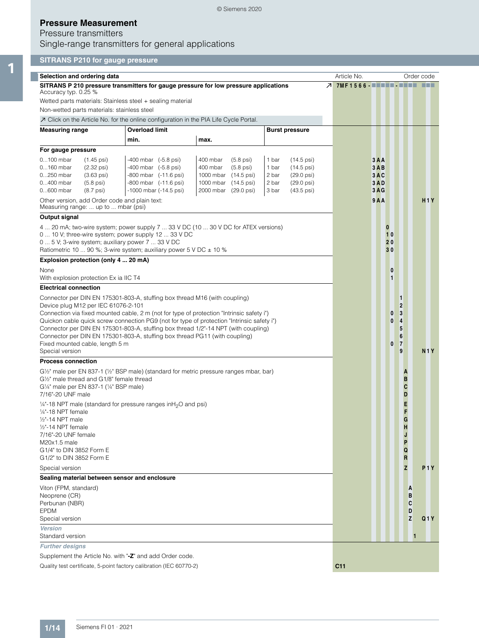## © Siemens 2020

## **Pressure Measurement**

## Pressure transmitters

Single-range transmitters for general applications

## **SITRANS P210 for gauge pressure**

| Selection and ordering data                                                                                                                                                                                                                                                                                                                                                                                        |                                                                       |                                                                                       |                                                                                         | Article No.                |                            |                                         | Order code                 |                  |
|--------------------------------------------------------------------------------------------------------------------------------------------------------------------------------------------------------------------------------------------------------------------------------------------------------------------------------------------------------------------------------------------------------------------|-----------------------------------------------------------------------|---------------------------------------------------------------------------------------|-----------------------------------------------------------------------------------------|----------------------------|----------------------------|-----------------------------------------|----------------------------|------------------|
| SITRANS P 210 pressure transmitters for gauge pressure for low pressure applications<br>Accuracy typ. 0.25 %                                                                                                                                                                                                                                                                                                       |                                                                       |                                                                                       |                                                                                         | 7 7MF1566 <b>BEER BEER</b> |                            |                                         |                            | 66 O O           |
| Wetted parts materials: Stainless steel + sealing material                                                                                                                                                                                                                                                                                                                                                         |                                                                       |                                                                                       |                                                                                         |                            |                            |                                         |                            |                  |
| Non-wetted parts materials: stainless steel                                                                                                                                                                                                                                                                                                                                                                        |                                                                       |                                                                                       |                                                                                         |                            |                            |                                         |                            |                  |
| $\overline{\mathcal{A}}$ Click on the Article No. for the online configuration in the PIA Life Cycle Portal.                                                                                                                                                                                                                                                                                                       |                                                                       |                                                                                       |                                                                                         |                            |                            |                                         |                            |                  |
| <b>Measuring range</b>                                                                                                                                                                                                                                                                                                                                                                                             | <b>Overload limit</b>                                                 |                                                                                       | <b>Burst pressure</b>                                                                   |                            |                            |                                         |                            |                  |
|                                                                                                                                                                                                                                                                                                                                                                                                                    | min.                                                                  | max.                                                                                  |                                                                                         |                            |                            |                                         |                            |                  |
| For gauge pressure                                                                                                                                                                                                                                                                                                                                                                                                 |                                                                       |                                                                                       |                                                                                         |                            |                            |                                         |                            |                  |
| $0100$ mbar<br>$(1.45 \,\text{psi})$<br>0160 mbar<br>$(2.32 \text{ psi})$<br>0250 mbar<br>$(3.63 \text{ psi})$                                                                                                                                                                                                                                                                                                     | -400 mbar (-5.8 psi)<br>-400 mbar (-5.8 psi)<br>-800 mbar (-11.6 psi) | 400 mbar<br>$(5.8 \text{ psi})$<br>400 mbar<br>$(5.8$ psi $)$<br>1000 mbar (14.5 psi) | 1 bar<br>$(14.5 \,\text{psi})$<br>(14.5 psi)<br>1 bar<br>2 bar<br>$(29.0 \,\text{psi})$ | 3AA<br>3AB<br>3AC          |                            |                                         |                            |                  |
| 0400 mbar<br>$(5.8 \text{ psi})$<br>0600 mbar<br>$(8.7 \text{ psi})$                                                                                                                                                                                                                                                                                                                                               | -800 mbar (-11.6 psi)<br>-1000 mbar (-14.5 psi)                       | 1000 mbar (14.5 psi)<br>2000 mbar (29.0 psi)                                          | 2 bar<br>$(29.0 \,\text{psi})$<br>3 bar<br>$(43.5 \,\text{psi})$                        | 3AD<br>$3A$ G              |                            |                                         |                            |                  |
| Other version, add Order code and plain text:<br>Measuring range:  up to  mbar (psi)                                                                                                                                                                                                                                                                                                                               |                                                                       |                                                                                       |                                                                                         | 9A                         |                            |                                         |                            | H1Y              |
| Output signal                                                                                                                                                                                                                                                                                                                                                                                                      |                                                                       |                                                                                       |                                                                                         |                            |                            |                                         |                            |                  |
| 4  20 mA; two-wire system; power supply 7  33 V DC (10  30 V DC for ATEX versions)<br>0  10 V; three-wire system; power supply 12  33 V DC<br>0  5 V; 3-wire system; auxiliary power 7  33 V DC<br>Ratiometric 10  90 %; 3-wire system; auxiliary power 5 V DC $\pm$ 10 %                                                                                                                                          |                                                                       |                                                                                       |                                                                                         |                            | $\bf{0}$<br>10<br>20<br>30 |                                         |                            |                  |
| Explosion protection (only 4  20 mA)                                                                                                                                                                                                                                                                                                                                                                               |                                                                       |                                                                                       |                                                                                         |                            |                            |                                         |                            |                  |
| None<br>With explosion protection Ex ia IIC T4                                                                                                                                                                                                                                                                                                                                                                     |                                                                       |                                                                                       |                                                                                         |                            | 0<br>1                     |                                         |                            |                  |
| <b>Electrical connection</b>                                                                                                                                                                                                                                                                                                                                                                                       |                                                                       |                                                                                       |                                                                                         |                            |                            |                                         |                            |                  |
| Connection via fixed mounted cable, 2 m (not for type of protection "Intrinsic safety i")<br>Quickon cable quick screw connection PG9 (not for type of protection "Intrinsic safety i")<br>Connector per DIN EN 175301-803-A, stuffing box thread 1/2"-14 NPT (with coupling)<br>Connector per DIN EN 175301-803-A, stuffing box thread PG11 (with coupling)<br>Fixed mounted cable, length 5 m<br>Special version |                                                                       |                                                                                       |                                                                                         |                            | 0<br>0<br>0                | 3<br>4<br>5<br>6<br>$\overline{7}$<br>9 |                            | <b>N1Y</b>       |
| <b>Process connection</b>                                                                                                                                                                                                                                                                                                                                                                                          |                                                                       |                                                                                       |                                                                                         |                            |                            |                                         |                            |                  |
| $G\frac{1}{2}$ " male per EN 837-1 ( $\frac{1}{2}$ " BSP male) (standard for metric pressure ranges mbar, bar)<br>G1/2" male thread and G1/8" female thread<br>G1/4" male per EN 837-1 (1/4" BSP male)<br>7/16"-20 UNF male                                                                                                                                                                                        |                                                                       |                                                                                       |                                                                                         |                            |                            |                                         | A<br>B<br>C<br>D           |                  |
| 1/4"-18 NPT male (standard for pressure ranges in H <sub>2</sub> O and psi)<br>$1/4" - 18$ NPT female<br>$1/2" - 14$ NPT male<br>1/ <sub>2</sub> "-14 NPT female<br>7/16"-20 UNF female<br>M20x1.5 male                                                                                                                                                                                                            |                                                                       |                                                                                       |                                                                                         |                            |                            |                                         | E<br>F<br>G<br>H<br>J<br>P |                  |
| G1/4" to DIN 3852 Form E<br>G1/2" to DIN 3852 Form E                                                                                                                                                                                                                                                                                                                                                               |                                                                       |                                                                                       |                                                                                         |                            |                            |                                         | Q<br>R                     |                  |
| Special version                                                                                                                                                                                                                                                                                                                                                                                                    |                                                                       |                                                                                       |                                                                                         |                            |                            |                                         | $\overline{z}$             | P <sub>1</sub> Y |
| Sealing material between sensor and enclosure                                                                                                                                                                                                                                                                                                                                                                      |                                                                       |                                                                                       |                                                                                         |                            |                            |                                         |                            |                  |
| Viton (FPM, standard)<br>Neoprene (CR)<br>Perbunan (NBR)<br><b>EPDM</b>                                                                                                                                                                                                                                                                                                                                            |                                                                       |                                                                                       |                                                                                         |                            |                            |                                         | A<br>B<br>C<br>D<br>Z      | Q1Y              |
| Special version<br><b>Version</b><br>Standard version                                                                                                                                                                                                                                                                                                                                                              |                                                                       |                                                                                       |                                                                                         |                            |                            |                                         | $\mathbf{1}$               |                  |
| <b>Further designs</b>                                                                                                                                                                                                                                                                                                                                                                                             |                                                                       |                                                                                       |                                                                                         |                            |                            |                                         |                            |                  |
| Supplement the Article No. with "-Z" and add Order code.<br>Quality test certificate, 5-point factory calibration (IEC 60770-2)                                                                                                                                                                                                                                                                                    |                                                                       |                                                                                       |                                                                                         | C <sub>11</sub>            |                            |                                         |                            |                  |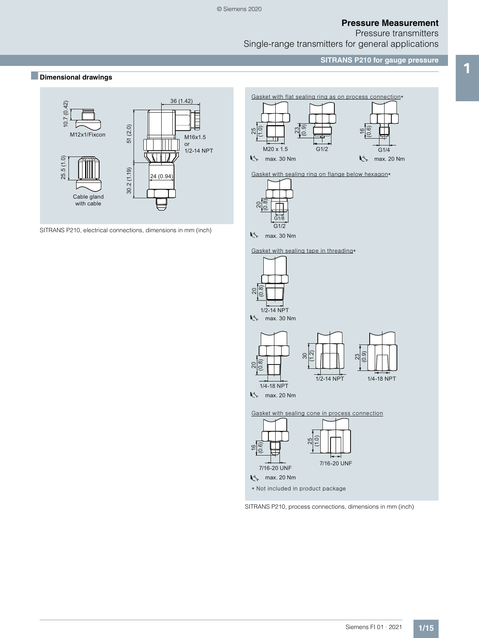Pressure transmitters Single-range transmitters for general applications

**SITRANS P210 for gauge pressure**

## ■ **Dimensional drawings**<br>■ **Dimensional drawings**



SITRANS P210, electrical connections, dimensions in mm (inch)





max. 30 Nm

Gasket with sealing tape in threading\*



SITRANS P210, process connections, dimensions in mm (inch)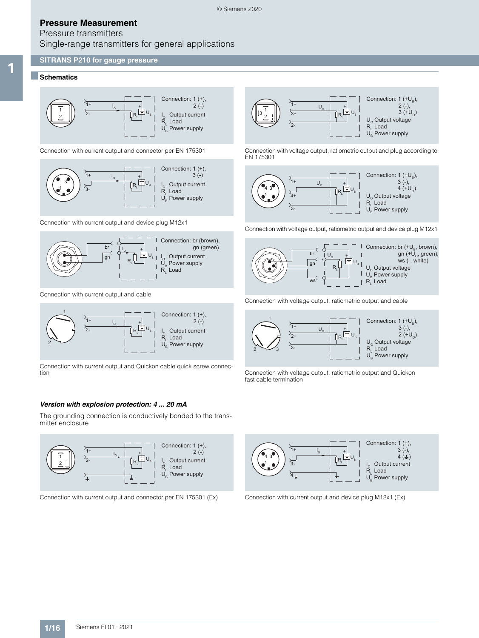## Pressure transmitters Single-range transmitters for general applications

#### **SITRANS P210 for gauge pressure**

## 1 ■**Schematics**



Connection with current output and connector per EN 175301



Connection with current output and device plug M12x1



Connection with current output and cable



Connection with current output and Quickon cable quick screw connection

#### *Version with explosion protection: 4 ... 20 mA*

The grounding connection is conductively bonded to the transmitter enclosure



Connection with current output and connector per EN 175301 (Ex) Connection with current output and device plug M12x1 (Ex)



Connection with voltage output, ratiometric output and plug according to EN 175301



Connection with voltage output, ratiometric output and device plug M12x1



Connection with voltage output, ratiometric output and cable



Connection with voltage output, ratiometric output and Quickon fast cable termination

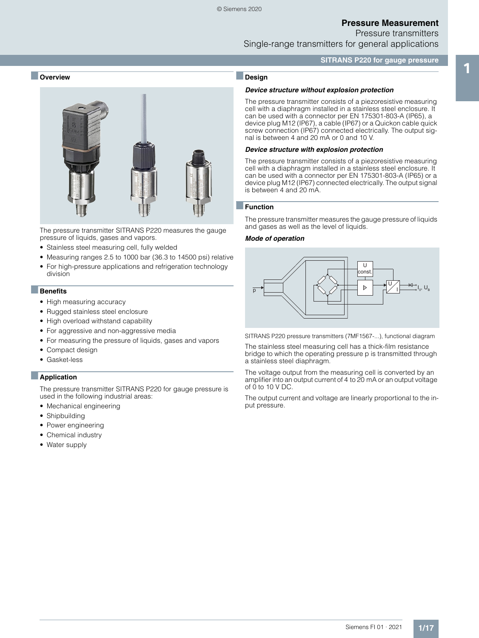Pressure transmitters

Single-range transmitters for general applications

#### **SITRANS P220 for gauge pressure**

# experience the contract of the state of the contract of the state of the state of the contract of the contract of the contract of the contract of the contract of the contract of the contract of the contract of the contract



The pressure transmitter SITRANS P220 measures the gauge pressure of liquids, gases and vapors.

- Stainless steel measuring cell, fully welded
- Measuring ranges 2.5 to 1000 bar (36.3 to 14500 psi) relative
- For high-pressure applications and refrigeration technology division

#### ■**Benefits**

- High measuring accuracy
- Rugged stainless steel enclosure
- High overload withstand capability
- For aggressive and non-aggressive media
- For measuring the pressure of liquids, gases and vapors
- Compact design
- Gasket-less

#### ■**Application**

The pressure transmitter SITRANS P220 for gauge pressure is used in the following industrial areas:

- Mechanical engineering
- Shipbuilding
- Power engineering
- Chemical industry
- Water supply

## ■**Design**

#### *Device structure without explosion protection*

The pressure transmitter consists of a piezoresistive measuring cell with a diaphragm installed in a stainless steel enclosure. It can be used with a connector per EN 175301-803-A (IP65), a device plug M12 (IP67), a cable (IP67) or a Quickon cable quick screw connection (IP67) connected electrically. The output signal is between 4 and 20 mA or 0 and 10 V.

#### *Device structure with explosion protection*

The pressure transmitter consists of a piezoresistive measuring cell with a diaphragm installed in a stainless steel enclosure. It can be used with a connector per EN 175301-803-A (IP65) or a device plug M12 (IP67) connected electrically. The output signal is between 4 and 20 mA.

#### ■**Function**

The pressure transmitter measures the gauge pressure of liquids and gases as well as the level of liquids.

#### *Mode of operation*



SITRANS P220 pressure transmitters (7MF1567-...), functional diagram

The stainless steel measuring cell has a thick-film resistance bridge to which the operating pressure p is transmitted through a stainless steel diaphragm.

The voltage output from the measuring cell is converted by an amplifier into an output current of 4 to 20 mA or an output voltage of 0 to 10 V DC.

The output current and voltage are linearly proportional to the input pressure.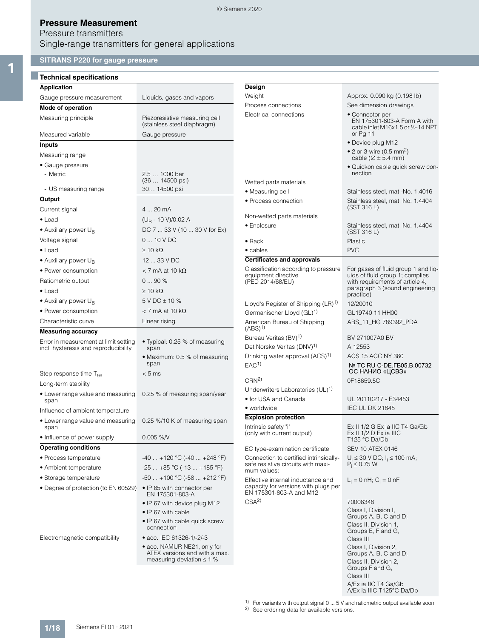## Pressure transmitters Single-range transmitters for general applications

## **SITRANS P220 for gauge pressure** 1 **Technical specifications**

| <b>Technical specifications</b>                                               |                                                                                                                            |                                                                      |                                                                                                          |
|-------------------------------------------------------------------------------|----------------------------------------------------------------------------------------------------------------------------|----------------------------------------------------------------------|----------------------------------------------------------------------------------------------------------|
| <b>Application</b>                                                            |                                                                                                                            | Design                                                               |                                                                                                          |
| Gauge pressure measurement                                                    | Liquids, gases and vapors                                                                                                  | Weight                                                               | Approx. 0.090 kg (0.198 lb)                                                                              |
| Mode of operation                                                             |                                                                                                                            | Process connections                                                  | See dimension drawings                                                                                   |
| Measuring principle                                                           | Piezoresistive measuring cell<br>(stainless steel diaphragm)                                                               | Electrical connections                                               | • Connector per<br>EN 175301-803-A Form A with<br>cable inlet M16x1.5 or 1/2-14 NPT                      |
| Measured variable                                                             | Gauge pressure                                                                                                             |                                                                      | or Pg 11                                                                                                 |
| Inputs                                                                        |                                                                                                                            |                                                                      | • Device plug M12                                                                                        |
| Measuring range                                                               |                                                                                                                            |                                                                      | • 2 or 3-wire (0.5 mm <sup>2</sup> )<br>cable ( $\varnothing \pm 5.4$ mm)                                |
| • Gauge pressure                                                              |                                                                                                                            |                                                                      | · Quickon cable quick screw con-                                                                         |
| - Metric                                                                      | 2.5  1000 bar<br>$(36 14500 \text{ psi})$                                                                                  | Wetted parts materials                                               | nection                                                                                                  |
| - US measuring range                                                          | 30 14500 psi                                                                                                               | · Measuring cell                                                     | Stainless steel, mat.-No. 1.4016                                                                         |
| Output                                                                        |                                                                                                                            | • Process connection                                                 | Stainless steel, mat. No. 1.4404                                                                         |
| Current signal                                                                | 4  20 mA                                                                                                                   |                                                                      | (SST 316 L)                                                                                              |
| $\bullet$ Load                                                                | $(U_B - 10 V)/0.02 A$                                                                                                      | Non-wetted parts materials                                           |                                                                                                          |
| • Auxiliary power U <sub>B</sub>                                              | DC 7  33 V (10  30 V for Ex)                                                                                               | • Enclosure                                                          | Stainless steel, mat. No. 1.4404<br>(SST 316 L)                                                          |
| Voltage signal                                                                | $010$ V DC                                                                                                                 | $\bullet$ Rack                                                       | Plastic                                                                                                  |
| $\bullet$ Load                                                                | $\geq 10$ kΩ                                                                                                               | $\bullet$ cables                                                     | <b>PVC</b>                                                                                               |
| • Auxiliary power $U_{\rm B}$                                                 | 12  33 V DC                                                                                                                | <b>Certificates and approvals</b>                                    |                                                                                                          |
| • Power consumption                                                           | $<$ 7 mA at 10 k $\Omega$                                                                                                  | Classification according to pressure                                 | For gases of fluid group 1 and lig-                                                                      |
| Ratiometric output                                                            | 090%                                                                                                                       | equipment directive<br>(PED 2014/68/EU)                              | uids of fluid group 1; complies<br>with requirements of article 4,                                       |
| $\bullet$ Load                                                                | $\geq 10$ k $\Omega$                                                                                                       |                                                                      | paragraph 3 (sound engineering                                                                           |
| • Auxiliary power $U_{\rm B}$                                                 | 5 V DC ± 10 %                                                                                                              |                                                                      | practice)                                                                                                |
|                                                                               | $<$ 7 mA at 10 k $\Omega$                                                                                                  | Lloyd's Register of Shipping (LR) <sup>1)</sup>                      | 12/20010                                                                                                 |
| • Power consumption                                                           |                                                                                                                            | Germanischer Lloyd (GL) <sup>1)</sup>                                | GL19740 11 HH00                                                                                          |
| Characteristic curve                                                          | Linear rising                                                                                                              | American Bureau of Shipping<br>$(ABS)^{1}$                           | ABS_11_HG 789392_PDA                                                                                     |
| <b>Measuring accuracy</b>                                                     |                                                                                                                            | Bureau Veritas (BV) <sup>1)</sup>                                    | BV 271007A0 BV                                                                                           |
| Error in measurement at limit setting<br>incl. hysteresis and reproducibility | • Typical: 0.25 % of measuring<br>span                                                                                     | Det Norske Veritas (DNV) <sup>1)</sup>                               | A 12553                                                                                                  |
|                                                                               | • Maximum: 0.5 % of measuring<br>span                                                                                      | Drinking water approval (ACS) <sup>1)</sup><br>EAC <sup>1</sup>      | ACS 15 ACC NY 360<br>№ TC RU C-DE. ГБ05.В.00732                                                          |
| Step response time T <sub>99</sub>                                            | < 5 ms                                                                                                                     |                                                                      | ОС НАНИО «ЦСВЭ»                                                                                          |
| Long-term stability                                                           |                                                                                                                            | CRN <sup>2</sup>                                                     | 0F18659.5C                                                                                               |
| • Lower range value and measuring<br>span                                     | 0.25 % of measuring span/year                                                                                              | Underwriters Laboratories (UL) <sup>1)</sup><br>• for USA and Canada | UL 20110217 - E34453                                                                                     |
| Influence of ambient temperature                                              |                                                                                                                            | • worldwide                                                          | <b>IEC UL DK 21845</b>                                                                                   |
| • Lower range value and measuring<br>span                                     | 0.25 %/10 K of measuring span                                                                                              | <b>Explosion protection</b><br>Intrinsic safety "i"                  | Ex II 1/2 G Ex ia IIC T4 Ga/Gb                                                                           |
| • Influence of power supply                                                   | $0.005 \%$ /V                                                                                                              | (only with current output)                                           | Ex II 1/2 D Ex ia IIIC<br>T125 °C Da/Db                                                                  |
| <b>Operating conditions</b>                                                   |                                                                                                                            | EC type-examination certificate                                      | <b>SEV 10 ATEX 0146</b>                                                                                  |
| • Process temperature                                                         | $-40$ +120 °C (-40  +248 °F)                                                                                               | Connection to certified intrinsically-                               | $U_i \le 30$ V DC; $I_i \le 100$ mA;                                                                     |
| • Ambient temperature                                                         | $-25+85$ °C (-13  +185 °F)                                                                                                 | safe resistive circuits with maxi-<br>mum values:                    | $P_i \le 0.75 W$                                                                                         |
| • Storage temperature                                                         | $-50+100$ °C ( $-58+212$ °F)                                                                                               | Effective internal inductance and                                    | $L_i = 0$ nH; $C_i = 0$ nF                                                                               |
| • Degree of protection (to EN 60529)                                          | • IP 65 with connector per<br>EN 175301-803-A                                                                              | capacity for versions with plugs per<br>EN 175301-803-A and M12      |                                                                                                          |
|                                                                               | • IP 67 with device plug M12<br>• IP 67 with cable<br>• IP 67 with cable quick screw<br>connection                         | CSA <sup>2</sup>                                                     | 70006348<br>Class I, Division I,<br>Groups A, B, C and D;<br>Class II, Division 1,<br>Groups E, F and G, |
| Electromagnetic compatibility                                                 | • acc. IEC 61326-1/-2/-3<br>• acc. NAMUR NE21, only for<br>ATEX versions and with a max.<br>measuring deviation $\leq 1$ % |                                                                      | Class III<br>Class I, Division 2,<br>Groups A, B, C and D;<br>Class II, Division 2,<br>Groups F and G,   |
|                                                                               |                                                                                                                            |                                                                      | Class III<br>A/Ex ia IIC T4 Ga/Gb                                                                        |

1) For variants with output signal 0 ... 5 V and ratiometric output available soon.

A/Ex ia IIIC T125°C Da/Db

2) See ordering data for available versions.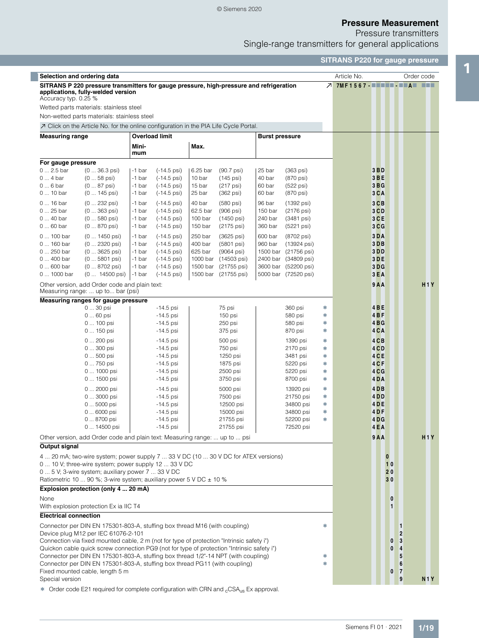© Siemens 2020

## **Pressure Measurement**

Pressure transmitters Single-range transmitters for general applications

|                              |                                                                                    |                                                                                                                                                                         |                     |                              |                       |                           |        | <b>SITRANS P220 for gauge pressure</b> |                          |
|------------------------------|------------------------------------------------------------------------------------|-------------------------------------------------------------------------------------------------------------------------------------------------------------------------|---------------------|------------------------------|-----------------------|---------------------------|--------|----------------------------------------|--------------------------|
|                              | Selection and ordering data                                                        |                                                                                                                                                                         |                     |                              |                       |                           |        | Article No.                            | Order code               |
| Accuracy typ. 0.25 %         | applications, fully-welded version<br>Wetted parts materials: stainless steel      | SITRANS P 220 pressure transmitters for gauge pressure, high-pressure and refrigeration                                                                                 |                     |                              |                       |                           |        | 7 7MF1567- - - - - - - - - - - - - - - |                          |
|                              | Non-wetted parts materials: stainless steel                                        |                                                                                                                                                                         |                     |                              |                       |                           |        |                                        |                          |
|                              |                                                                                    |                                                                                                                                                                         |                     |                              |                       |                           |        |                                        |                          |
|                              |                                                                                    | $\overline{\mathcal{A}}$ Click on the Article No. for the online configuration in the PIA Life Cycle Portal.                                                            |                     |                              |                       |                           |        |                                        |                          |
| <b>Measuring range</b>       |                                                                                    | <b>Overload limit</b><br>Mini-<br>mum                                                                                                                                   | Max.                |                              | <b>Burst pressure</b> |                           |        |                                        |                          |
| For gauge pressure           |                                                                                    |                                                                                                                                                                         |                     |                              |                       |                           |        |                                        |                          |
| $02.5$ bar                   | $(036.3 \text{psi})$                                                               | $(-14.5 \,\text{psi})$<br>-1 bar                                                                                                                                        | 6.25 bar            | $(90.7 \,\text{psi})$        | 25 bar                | (363 psi)                 |        | 3 <sub>B</sub>                         |                          |
| $04$ bar                     | $(058 \text{ psi})$                                                                | -1 bar<br>$(-14.5 \,\text{psi})$                                                                                                                                        | 10 bar              | $(145 \text{ psi})$          | 40 bar                | (870 psi)                 |        | 3BE                                    |                          |
| $06$ bar<br>$010$ bar        | $(087 \text{ psi})$                                                                | -1 bar<br>$(-14.5 \,\text{psi})$<br>-1 bar                                                                                                                              | 15 bar<br>25 bar    | (217 psi)                    | 60 bar<br>60 bar      | (522 psi)                 |        | 3BG<br>$3C$ A                          |                          |
|                              | $(0 145 \text{ psi})$                                                              | $(-14.5 \,\text{psi})$                                                                                                                                                  |                     | (362 psi)                    |                       | (870 psi)                 |        |                                        |                          |
| 0  16 bar                    | $(0 232 \text{ psi})$                                                              | $(-14.5 \,\text{psi})$<br>-1 bar                                                                                                                                        | 40 bar              | (580 psi)                    | 96 bar                | (1392 psi)                |        | $3C$ B                                 |                          |
| 0  25 bar<br>0  40 bar       | $(0363 \text{ psi})$<br>$(0580$ psi)                                               | -1 bar<br>$(-14.5 \,\text{psi})$<br>-1 bar<br>(-14.5 psi)                                                                                                               | 62.5 bar<br>100 bar | $(906$ psi $)$<br>(1450 psi) | 150 bar<br>240 bar    | (2176 psi)<br>(3481 psi)  |        | 3 <sub>C</sub><br>$3C$ E               |                          |
| $060$ bar                    | $(0870 \text{ psi})$                                                               | -1 bar<br>$(-14.5 \,\text{psi})$                                                                                                                                        | 150 bar             | (2175 psi)                   | 360 bar               | (5221 psi)                |        | 3 <sub>C</sub>                         |                          |
|                              |                                                                                    |                                                                                                                                                                         |                     |                              |                       |                           |        |                                        |                          |
| 0  100 bar<br>0  160 bar     | $(0 1450 \text{ psi})$<br>(0  2320 psi)                                            | -1 bar<br>$(-14.5 \,\text{psi})$<br>-1 bar<br>$(-14.5 \,\text{psi})$                                                                                                    | 250 bar<br>400 bar  | (3625 psi)<br>(5801 psi)     | 600 bar<br>960 bar    | (8702 psi)<br>(13924 psi) |        | 3 <sub>D</sub> A<br>$3D$ B             |                          |
| 0  250 bar                   | $(03625 \text{ psi})$                                                              | -1 bar<br>$(-14.5 \,\text{psi})$                                                                                                                                        | 625 bar             | $(9064 \text{ psi})$         |                       | 1500 bar (21756 psi)      |        | 3 <sub>D</sub>                         |                          |
| 0  400 bar                   | $(05801$ psi)                                                                      | $(-14.5 \,\text{psi})$<br>-1 bar                                                                                                                                        | 1000 bar            | (14503 psi)                  |                       | 2400 bar (34809 psi)      |        | 3DE                                    |                          |
| 0  600 bar                   | $(08702 \text{ psi})$                                                              | -1 bar<br>(-14.5 psi)                                                                                                                                                   | 1500 bar            | (21755 psi)                  |                       | 3600 bar (52200 psi)      |        | 3DG                                    |                          |
| 0  1000 bar                  | $(0 14500 \text{ psi})$                                                            | -1 bar<br>$(-14.5 \,\text{psi})$                                                                                                                                        |                     | 1500 bar (21755 psi)         |                       | 5000 bar (72520 psi)      |        | $3E$ A                                 |                          |
|                              | Other version, add Order code and plain text:<br>Measuring range:  up to bar (psi) |                                                                                                                                                                         |                     |                              |                       |                           |        | 9A                                     | <b>H1Y</b>               |
|                              | Measuring ranges for gauge pressure                                                |                                                                                                                                                                         |                     |                              |                       |                           |        |                                        |                          |
|                              | $030$ psi                                                                          | $-14.5$ psi                                                                                                                                                             |                     | 75 psi                       |                       | 360 psi                   | ∗      | 4BE                                    |                          |
|                              | 0  60 psi                                                                          | $-14.5$ psi                                                                                                                                                             |                     | 150 psi                      |                       | 580 psi                   | ∗      | $4B$ F                                 |                          |
|                              | 0  100 psi<br>0  150 psi                                                           | $-14.5$ psi<br>$-14.5$ psi                                                                                                                                              |                     | 250 psi<br>375 psi           |                       | 580 psi<br>870 psi        | ∗<br>∗ | 4BG<br>4CA                             |                          |
|                              |                                                                                    |                                                                                                                                                                         |                     |                              |                       |                           |        |                                        |                          |
|                              | 0  200 psi                                                                         | $-14.5$ psi                                                                                                                                                             |                     | 500 psi                      |                       | 1390 psi                  | ∗      | $4C$ B                                 |                          |
|                              | 0  300 psi<br>0  500 psi                                                           | $-14.5$ psi<br>$-14.5$ psi                                                                                                                                              |                     | 750 psi<br>1250 psi          |                       | 2170 psi<br>3481 psi      | ∗<br>∗ | 4 CD<br>4 <sub>CE</sub>                |                          |
|                              | 0  750 psi                                                                         | $-14.5$ psi                                                                                                                                                             |                     | 1875 psi                     |                       | 5220 psi                  | ∗      | 4 <sub>CF</sub>                        |                          |
|                              | 0  1000 psi                                                                        | $-14.5$ psi                                                                                                                                                             |                     | 2500 psi                     |                       | 5220 psi                  | ∗      | 4 <sub>C</sub>                         |                          |
|                              | 0  1500 psi                                                                        | $-14.5$ psi                                                                                                                                                             |                     | 3750 psi                     |                       | 8700 psi                  | ∗      | 4DA                                    |                          |
|                              | 0  2000 psi                                                                        | $-14.5$ psi                                                                                                                                                             |                     | 5000 psi                     |                       | 13920 psi                 | ∗      | $4D$ B                                 |                          |
|                              | 0  3000 psi                                                                        | $-14.5$ psi                                                                                                                                                             |                     | 7500 psi                     |                       | 21750 psi                 | ∗      | 4 D D                                  |                          |
|                              | 0  5000 psi                                                                        | $-14.5$ psi                                                                                                                                                             |                     | 12500 psi                    |                       | 34800 psi                 | ∗      | 4 <sub>DE</sub>                        |                          |
|                              | 0  6000 psi                                                                        | -14.5 psi                                                                                                                                                               |                     | 15000 psi                    |                       | 34800 psi                 |        | 4DF                                    |                          |
|                              | 0  8700 psi                                                                        | $-14.5$ psi                                                                                                                                                             |                     | 21755 psi                    |                       | 52200 psi                 | ∗      | 4 <sub>D</sub>                         |                          |
|                              | 0  14500 psi                                                                       | $-14.5$ psi                                                                                                                                                             |                     | 21755 psi                    |                       | 72520 psi                 |        | 4EA                                    |                          |
|                              |                                                                                    | Other version, add Order code and plain text: Measuring range:  up to  psi                                                                                              |                     |                              |                       |                           |        | 9A                                     | H1Y                      |
| Output signal                |                                                                                    |                                                                                                                                                                         |                     |                              |                       |                           |        |                                        |                          |
|                              |                                                                                    | 4  20 mA; two-wire system; power supply 7  33 V DC (10  30 V DC for ATEX versions)                                                                                      |                     |                              |                       |                           |        | $\bf{0}$                               |                          |
|                              |                                                                                    | 0  10 V; three-wire system; power supply 12  33 V DC                                                                                                                    |                     |                              |                       |                           |        | 10                                     |                          |
|                              |                                                                                    | 0  5 V; 3-wire system; auxiliary power 7  33 V DC                                                                                                                       |                     |                              |                       |                           |        | 20                                     |                          |
|                              |                                                                                    | Ratiometric 10  90 %; 3-wire system; auxiliary power 5 V DC $\pm$ 10 %                                                                                                  |                     |                              |                       |                           |        | 30                                     |                          |
|                              | Explosion protection (only 4  20 mA)                                               |                                                                                                                                                                         |                     |                              |                       |                           |        |                                        |                          |
| None                         | With explosion protection Ex ia IIC T4                                             |                                                                                                                                                                         |                     |                              |                       |                           |        | $\boldsymbol{0}$<br>$\blacksquare$     |                          |
| <b>Electrical connection</b> |                                                                                    |                                                                                                                                                                         |                     |                              |                       |                           |        |                                        |                          |
|                              | Device plug M12 per IEC 61076-2-101                                                | Connector per DIN EN 175301-803-A, stuffing box thread M16 (with coupling)<br>Connection via fixed mounted cable, 2 m (not for type of protection "Intrinsic safety i") |                     |                              |                       |                           | ∗      | $\boldsymbol{0}$                       | 1<br>$\overline{2}$<br>3 |
|                              |                                                                                    | Quickon cable quick screw connection PG9 (not for type of protection "Intrinsic safety i")                                                                              |                     |                              |                       |                           |        | $\bf{0}$                               | 4                        |
|                              |                                                                                    | Connector per DIN EN 175301-803-A, stuffing box thread 1/2"-14 NPT (with coupling)                                                                                      |                     |                              |                       |                           | ∗<br>傘 |                                        | 5                        |
|                              | Fixed mounted cable, length 5 m                                                    | Connector per DIN EN 175301-803-A, stuffing box thread PG11 (with coupling)                                                                                             |                     |                              |                       |                           |        | $\boldsymbol{0}$                       | 6<br>$\overline{7}$      |
| Special version              |                                                                                    |                                                                                                                                                                         |                     |                              |                       |                           |        |                                        | 9<br><b>N1Y</b>          |
|                              |                                                                                    |                                                                                                                                                                         |                     |                              |                       |                           |        |                                        |                          |

 $\bullet$  Order code E21 required for complete configuration with CRN and  $_{c}$ CSA<sub>us</sub> Ex approval.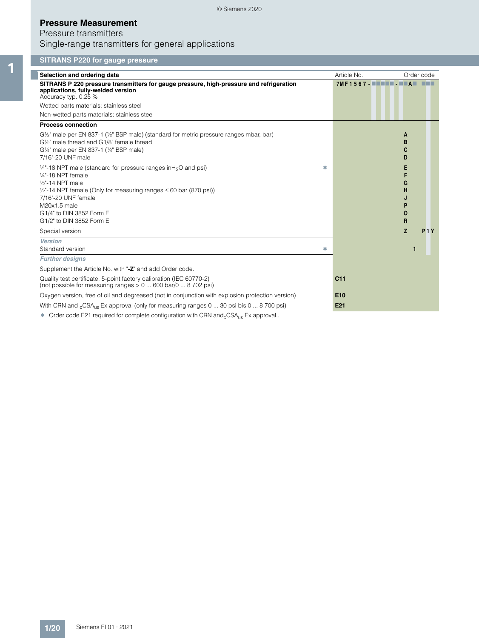## Pressure transmitters Single-range transmitters for general applications

## **SITRANS P220 for gauge pressure**

| Selection and ordering data                                                                                                                                                                                                                                                                                    |     | Article No.                                |                       | Order code       |
|----------------------------------------------------------------------------------------------------------------------------------------------------------------------------------------------------------------------------------------------------------------------------------------------------------------|-----|--------------------------------------------|-----------------------|------------------|
| SITRANS P 220 pressure transmitters for gauge pressure, high-pressure and refrigeration<br>applications, fully-welded version<br>Accuracy typ. 0.25 %                                                                                                                                                          |     | 7MF1567 - <b>- - - - - - - - - - - - -</b> |                       |                  |
| Wetted parts materials: stainless steel                                                                                                                                                                                                                                                                        |     |                                            |                       |                  |
| Non-wetted parts materials: stainless steel                                                                                                                                                                                                                                                                    |     |                                            |                       |                  |
| <b>Process connection</b>                                                                                                                                                                                                                                                                                      |     |                                            |                       |                  |
| $G\frac{1}{2}$ " male per EN 837-1 ( $\frac{1}{2}$ " BSP male) (standard for metric pressure ranges mbar, bar)<br>G1/2" male thread and G1/8" female thread<br>G1/4" male per EN 837-1 (1/4" BSP male)<br>7/16"-20 UNF male                                                                                    |     |                                            | A<br>B<br>C<br>D      |                  |
| 1/4"-18 NPT male (standard for pressure ranges in H <sub>2</sub> O and psi)<br>$1/4"$ -18 NPT female<br>$1/2$ "-14 NPT male<br>$\frac{1}{2}$ -14 NPT female (Only for measuring ranges $\leq 60$ bar (870 psi))<br>7/16"-20 UNF female<br>M20x1.5 male<br>G1/4" to DIN 3852 Form E<br>G1/2" to DIN 3852 Form E | yh, |                                            | Е<br>G<br>н<br>Q<br>R |                  |
| Special version                                                                                                                                                                                                                                                                                                |     |                                            | Z                     | P <sub>1</sub> Y |
| <b>Version</b>                                                                                                                                                                                                                                                                                                 |     |                                            |                       |                  |
| Standard version                                                                                                                                                                                                                                                                                               | 全   |                                            |                       |                  |
| <b>Further designs</b>                                                                                                                                                                                                                                                                                         |     |                                            |                       |                  |
| Supplement the Article No. with "-Z" and add Order code.                                                                                                                                                                                                                                                       |     |                                            |                       |                  |
| Quality test certificate, 5-point factory calibration (IEC 60770-2)<br>(not possible for measuring ranges $> 0$ 600 bar/0  8 702 psi)                                                                                                                                                                          |     | C <sub>11</sub>                            |                       |                  |
| Oxygen version, free of oil and degreased (not in conjunction with explosion protection version)                                                                                                                                                                                                               |     | E <sub>10</sub>                            |                       |                  |
| With CRN and <sub>c</sub> CSA <sub>us</sub> Ex approval (only for measuring ranges 0  30 psi bis 0  8 700 psi)                                                                                                                                                                                                 |     | E <sub>21</sub>                            |                       |                  |
| $\pm$ Output of the EQ4 and the different state of a final state of the ODM and OOA . Experienced                                                                                                                                                                                                              |     |                                            |                       |                  |

 $\bullet$  Order code E21 required for complete configuration with CRN and<sub>c</sub>CSA<sub>us</sub> Ex approval..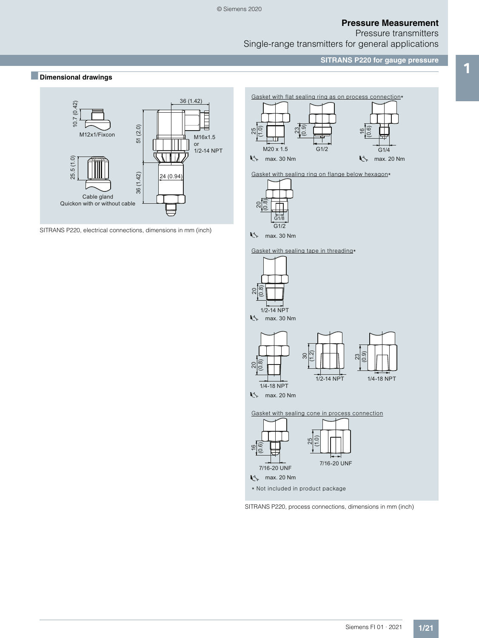Pressure transmitters Single-range transmitters for general applications

**SITRANS P220 for gauge pressure**

## ■ **Dimensional drawings**<br>■ **Dimensional drawings**



SITRANS P220, electrical connections, dimensions in mm (inch)





max. 30 Nm

Gasket with sealing tape in threading\*



SITRANS P220, process connections, dimensions in mm (inch)